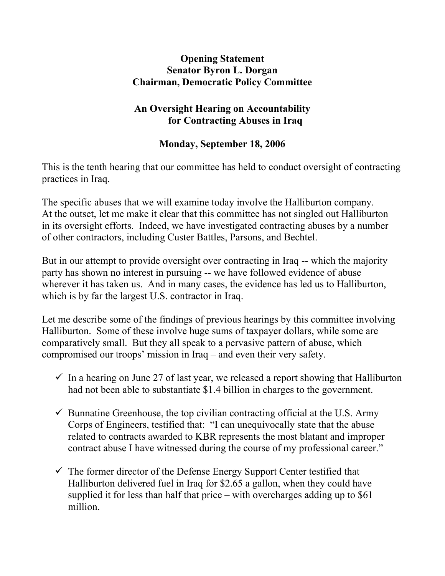## **Opening Statement Senator Byron L. Dorgan Chairman, Democratic Policy Committee**

## **An Oversight Hearing on Accountability for Contracting Abuses in Iraq**

## **Monday, September 18, 2006**

This is the tenth hearing that our committee has held to conduct oversight of contracting practices in Iraq.

The specific abuses that we will examine today involve the Halliburton company. At the outset, let me make it clear that this committee has not singled out Halliburton in its oversight efforts. Indeed, we have investigated contracting abuses by a number of other contractors, including Custer Battles, Parsons, and Bechtel.

But in our attempt to provide oversight over contracting in Iraq -- which the majority party has shown no interest in pursuing -- we have followed evidence of abuse wherever it has taken us. And in many cases, the evidence has led us to Halliburton, which is by far the largest U.S. contractor in Iraq.

Let me describe some of the findings of previous hearings by this committee involving Halliburton. Some of these involve huge sums of taxpayer dollars, while some are comparatively small. But they all speak to a pervasive pattern of abuse, which compromised our troops' mission in Iraq – and even their very safety.

- $\checkmark$  In a hearing on June 27 of last year, we released a report showing that Halliburton had not been able to substantiate \$1.4 billion in charges to the government.
- $\checkmark$  Bunnatine Greenhouse, the top civilian contracting official at the U.S. Army Corps of Engineers, testified that: "I can unequivocally state that the abuse related to contracts awarded to KBR represents the most blatant and improper contract abuse I have witnessed during the course of my professional career."
- $\checkmark$  The former director of the Defense Energy Support Center testified that Halliburton delivered fuel in Iraq for \$2.65 a gallon, when they could have supplied it for less than half that price – with overcharges adding up to \$61 million.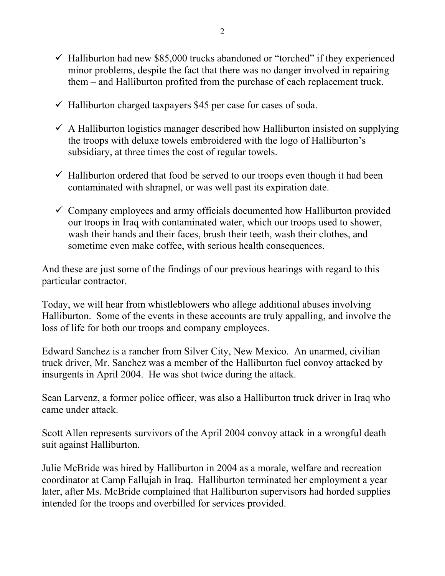- $\checkmark$  Halliburton had new \$85,000 trucks abandoned or "torched" if they experienced minor problems, despite the fact that there was no danger involved in repairing them – and Halliburton profited from the purchase of each replacement truck.
- $\checkmark$  Halliburton charged taxpayers \$45 per case for cases of soda.
- $\checkmark$  A Halliburton logistics manager described how Halliburton insisted on supplying the troops with deluxe towels embroidered with the logo of Halliburton's subsidiary, at three times the cost of regular towels.
- $\checkmark$  Halliburton ordered that food be served to our troops even though it had been contaminated with shrapnel, or was well past its expiration date.
- $\checkmark$  Company employees and army officials documented how Halliburton provided our troops in Iraq with contaminated water, which our troops used to shower, wash their hands and their faces, brush their teeth, wash their clothes, and sometime even make coffee, with serious health consequences.

And these are just some of the findings of our previous hearings with regard to this particular contractor.

Today, we will hear from whistleblowers who allege additional abuses involving Halliburton. Some of the events in these accounts are truly appalling, and involve the loss of life for both our troops and company employees.

Edward Sanchez is a rancher from Silver City, New Mexico. An unarmed, civilian truck driver, Mr. Sanchez was a member of the Halliburton fuel convoy attacked by insurgents in April 2004. He was shot twice during the attack.

Sean Larvenz, a former police officer, was also a Halliburton truck driver in Iraq who came under attack.

Scott Allen represents survivors of the April 2004 convoy attack in a wrongful death suit against Halliburton.

Julie McBride was hired by Halliburton in 2004 as a morale, welfare and recreation coordinator at Camp Fallujah in Iraq. Halliburton terminated her employment a year later, after Ms. McBride complained that Halliburton supervisors had horded supplies intended for the troops and overbilled for services provided.